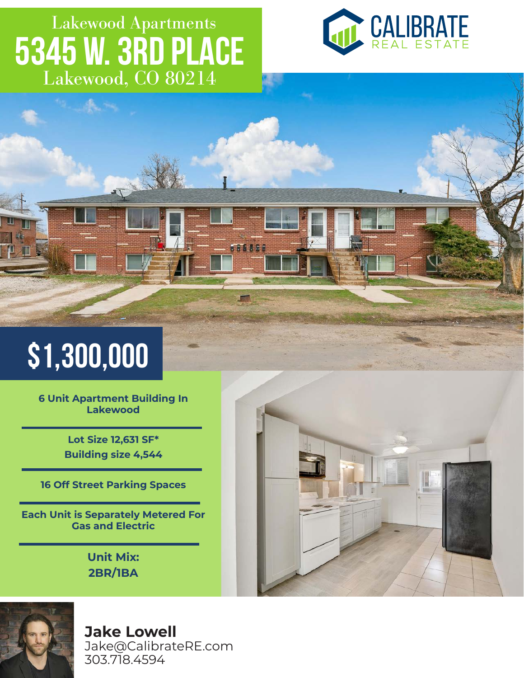## Lakewood, CO 80214 Lakewood Apartments **5345 W. 3rd Place**

166196



# **\$1,300,000**

**6 Unit Apartment Building In Lakewood** 

> **Lot Size 12,631 SF\* Building size 4,544**

**16 Off Street Parking Spaces**

**Each Unit is Separately Metered For Gas and Electric**

> **Unit Mix: 2BR/1BA**





**Jake Lowell**

Jake@CalibrateRE.com 303.718.4594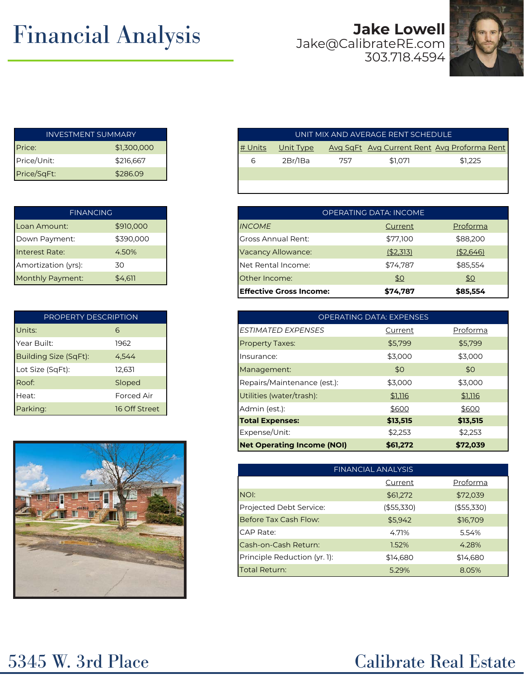## **Financial Analysis**

### Jake@CalibrateRE.com 303.718.4594



| INVESTMENT SUMMARY |             |  |  |
|--------------------|-------------|--|--|
| Price:             | \$1,300,000 |  |  |
| Price/Unit:        | \$216,667   |  |  |
| Price/SqFt:        | \$286.09    |  |  |

| <b>FINANCING</b>    |           |  |  |  |
|---------------------|-----------|--|--|--|
| Loan Amount:        | \$910,000 |  |  |  |
| Down Payment:       | \$390,000 |  |  |  |
| Interest Rate:      | 4.50%     |  |  |  |
| Amortization (yrs): | 30        |  |  |  |
| Monthly Payment:    | \$4,611   |  |  |  |

| PROPERTY DESCRIPTION         |               |  |  |  |  |
|------------------------------|---------------|--|--|--|--|
| Units:                       | 6             |  |  |  |  |
| Year Built:                  | 1962          |  |  |  |  |
| <b>Building Size (SqFt):</b> | 4,544         |  |  |  |  |
| Lot Size (SqFt):             | 12,631        |  |  |  |  |
| Roof:                        | Sloped        |  |  |  |  |
| Heat:                        | Forced Air    |  |  |  |  |
| Parking:                     | 16 Off Street |  |  |  |  |



| <b>INVESTMENT SUMMARY</b> |             |
|---------------------------|-------------|
| Price:                    | \$1,300,000 |
| Price/Unit:               | \$216,667   |
| Price/SqFt:               | \$286.09    |

| <b>FINANCING</b>    |           |
|---------------------|-----------|
| Loan Amount:        | \$910,000 |
| Down Payment:       | \$390,000 |
| Interest Rate:      | 4.50%     |
| Amortization (yrs): | 30        |
| Monthly Payment:    | \$4,611   |
|                     |           |

| PROPERTY DESCRIPTION         |               |
|------------------------------|---------------|
| Units:                       | 6             |
| Year Built:                  | 1962          |
| <b>Building Size (SqFt):</b> | 4,544         |
| Lot Size (SqFt):             | 12,631        |
| Roof:                        | Sloped        |
| Heat:                        | Forced Air    |
| Parking:                     | 16 Off Street |
|                              |               |
|                              |               |
|                              |               |

|                              | <b>FINANCIAL ANALYSIS</b> |            |  |
|------------------------------|---------------------------|------------|--|
|                              | Current                   | Proforma   |  |
| NOI:                         | \$61,272                  | \$72,039   |  |
| Projected Debt Service:      | ( \$55,330)               | (\$55,330) |  |
| Before Tax Cash Flow:        | \$5,942                   | \$16,709   |  |
| CAP Rate:                    | 4.71%                     | 5.54%      |  |
| Cash-on-Cash Return:         | 1.52%                     | 4.28%      |  |
| Principle Reduction (yr. 1): | \$14,680                  | \$14,680   |  |
| <b>Total Return:</b>         | 5.29%                     | 8.05%      |  |

### 5345 W. 3rd Place Calibrate Real Estate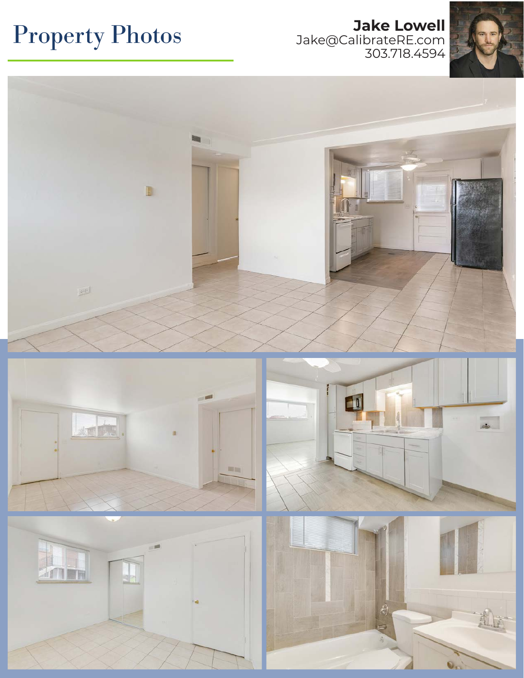### **Property Photos** Jake Qualibrate RE.com Jake@CalibrateRE.com 303.718.4594